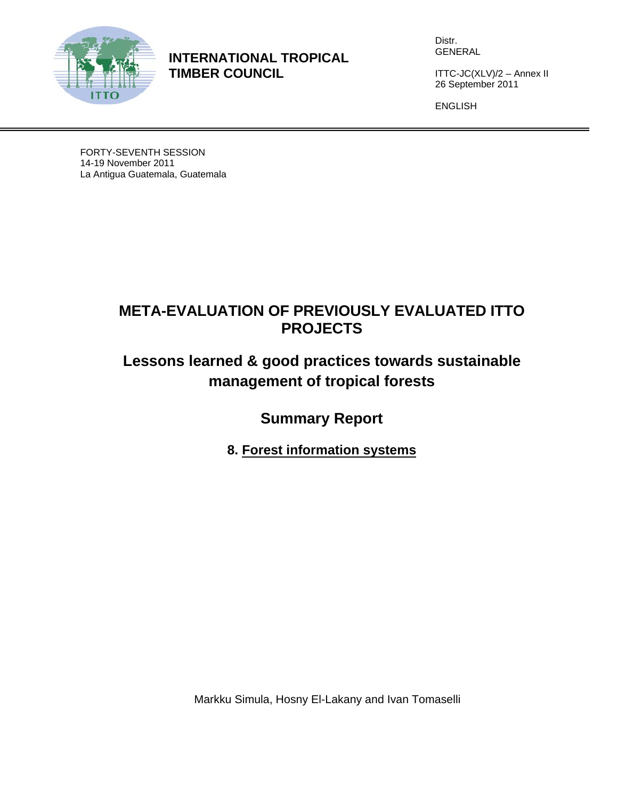

**INTERNATIONAL TROPICAL TIMBER COUNCIL** 

Distr. GENERAL

ITTC-JC(XLV)/2 – Annex II 26 September 2011

ENGLISH

FORTY-SEVENTH SESSION 14-19 November 2011 La Antigua Guatemala, Guatemala

# **META-EVALUATION OF PREVIOUSLY EVALUATED ITTO PROJECTS**

# **Lessons learned & good practices towards sustainable management of tropical forests**

**Summary Report** 

**8. Forest information systems** 

Markku Simula, Hosny El-Lakany and Ivan Tomaselli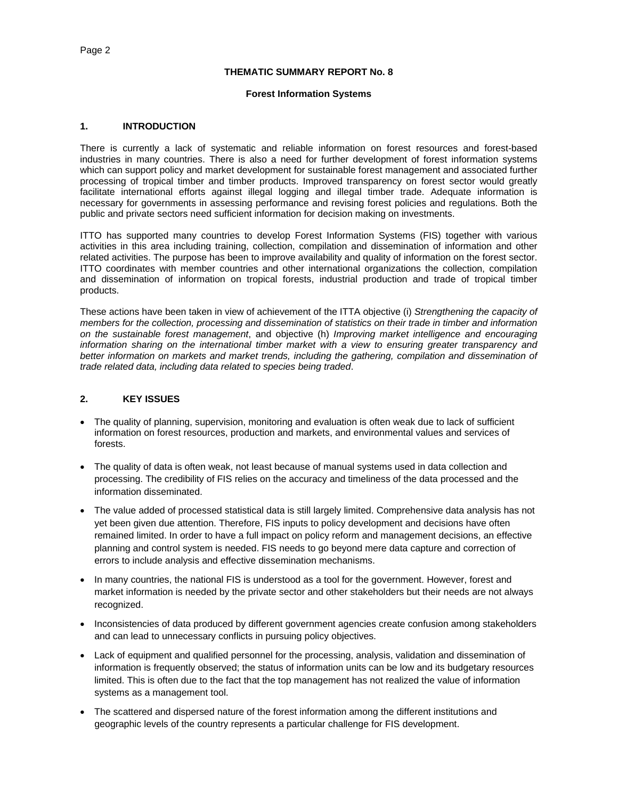#### **THEMATIC SUMMARY REPORT No. 8**

### **Forest Information Systems**

#### **1. INTRODUCTION**

There is currently a lack of systematic and reliable information on forest resources and forest-based industries in many countries. There is also a need for further development of forest information systems which can support policy and market development for sustainable forest management and associated further processing of tropical timber and timber products. Improved transparency on forest sector would greatly facilitate international efforts against illegal logging and illegal timber trade. Adequate information is necessary for governments in assessing performance and revising forest policies and regulations. Both the public and private sectors need sufficient information for decision making on investments.

ITTO has supported many countries to develop Forest Information Systems (FIS) together with various activities in this area including training, collection, compilation and dissemination of information and other related activities. The purpose has been to improve availability and quality of information on the forest sector. ITTO coordinates with member countries and other international organizations the collection, compilation and dissemination of information on tropical forests, industrial production and trade of tropical timber products.

These actions have been taken in view of achievement of the ITTA objective (i) *Strengthening the capacity of members for the collection, processing and dissemination of statistics on their trade in timber and information on the sustainable forest management*, and objective (h) *Improving market intelligence and encouraging*  information sharing on the international timber market with a view to ensuring greater transparency and *better information on markets and market trends, including the gathering, compilation and dissemination of trade related data, including data related to species being traded*.

# **2. KEY ISSUES**

- The quality of planning, supervision, monitoring and evaluation is often weak due to lack of sufficient information on forest resources, production and markets, and environmental values and services of forests.
- The quality of data is often weak, not least because of manual systems used in data collection and processing. The credibility of FIS relies on the accuracy and timeliness of the data processed and the information disseminated.
- The value added of processed statistical data is still largely limited. Comprehensive data analysis has not yet been given due attention. Therefore, FIS inputs to policy development and decisions have often remained limited. In order to have a full impact on policy reform and management decisions, an effective planning and control system is needed. FIS needs to go beyond mere data capture and correction of errors to include analysis and effective dissemination mechanisms.
- In many countries, the national FIS is understood as a tool for the government. However, forest and market information is needed by the private sector and other stakeholders but their needs are not always recognized.
- Inconsistencies of data produced by different government agencies create confusion among stakeholders and can lead to unnecessary conflicts in pursuing policy objectives.
- Lack of equipment and qualified personnel for the processing, analysis, validation and dissemination of information is frequently observed; the status of information units can be low and its budgetary resources limited. This is often due to the fact that the top management has not realized the value of information systems as a management tool.
- The scattered and dispersed nature of the forest information among the different institutions and geographic levels of the country represents a particular challenge for FIS development.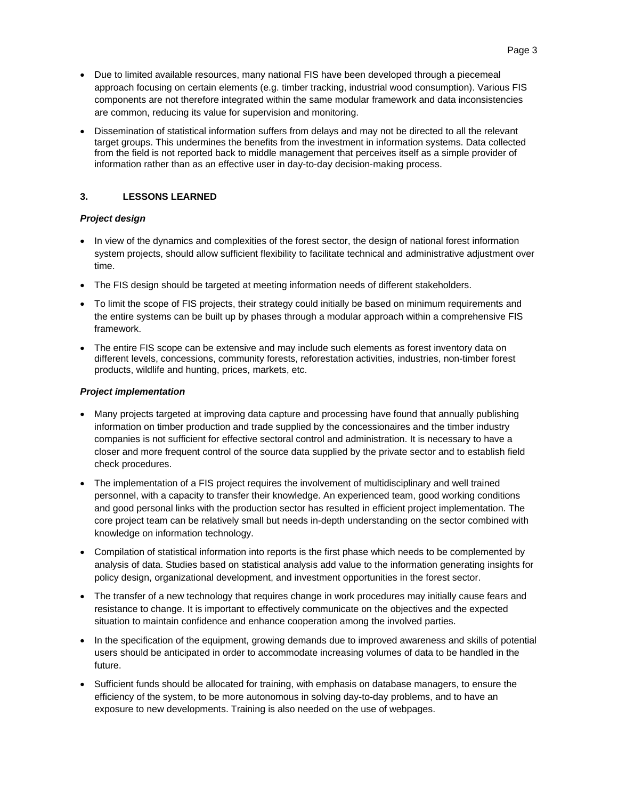- Due to limited available resources, many national FIS have been developed through a piecemeal approach focusing on certain elements (e.g. timber tracking, industrial wood consumption). Various FIS components are not therefore integrated within the same modular framework and data inconsistencies are common, reducing its value for supervision and monitoring.
- Dissemination of statistical information suffers from delays and may not be directed to all the relevant target groups. This undermines the benefits from the investment in information systems. Data collected from the field is not reported back to middle management that perceives itself as a simple provider of information rather than as an effective user in day-to-day decision-making process.

## **3. LESSONS LEARNED**

## *Project design*

- In view of the dynamics and complexities of the forest sector, the design of national forest information system projects, should allow sufficient flexibility to facilitate technical and administrative adjustment over time.
- The FIS design should be targeted at meeting information needs of different stakeholders.
- To limit the scope of FIS projects, their strategy could initially be based on minimum requirements and the entire systems can be built up by phases through a modular approach within a comprehensive FIS framework.
- The entire FIS scope can be extensive and may include such elements as forest inventory data on different levels, concessions, community forests, reforestation activities, industries, non-timber forest products, wildlife and hunting, prices, markets, etc.

## *Project implementation*

- Many projects targeted at improving data capture and processing have found that annually publishing information on timber production and trade supplied by the concessionaires and the timber industry companies is not sufficient for effective sectoral control and administration. It is necessary to have a closer and more frequent control of the source data supplied by the private sector and to establish field check procedures.
- The implementation of a FIS project requires the involvement of multidisciplinary and well trained personnel, with a capacity to transfer their knowledge. An experienced team, good working conditions and good personal links with the production sector has resulted in efficient project implementation. The core project team can be relatively small but needs in-depth understanding on the sector combined with knowledge on information technology.
- Compilation of statistical information into reports is the first phase which needs to be complemented by analysis of data. Studies based on statistical analysis add value to the information generating insights for policy design, organizational development, and investment opportunities in the forest sector.
- The transfer of a new technology that requires change in work procedures may initially cause fears and resistance to change. It is important to effectively communicate on the objectives and the expected situation to maintain confidence and enhance cooperation among the involved parties.
- In the specification of the equipment, growing demands due to improved awareness and skills of potential users should be anticipated in order to accommodate increasing volumes of data to be handled in the future.
- Sufficient funds should be allocated for training, with emphasis on database managers, to ensure the efficiency of the system, to be more autonomous in solving day-to-day problems, and to have an exposure to new developments. Training is also needed on the use of webpages.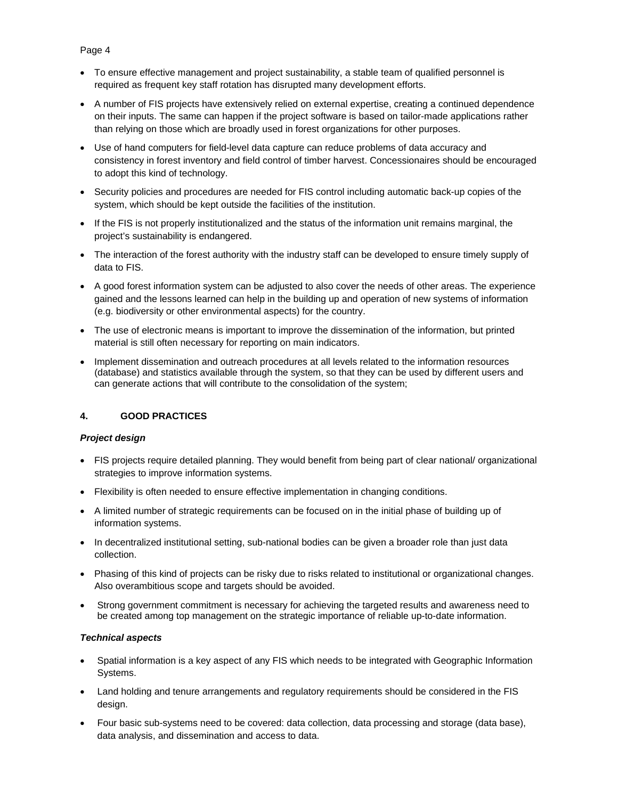# To ensure effective management and project sustainability, a stable team of qualified personnel is required as frequent key staff rotation has disrupted many development efforts.

- A number of FIS projects have extensively relied on external expertise, creating a continued dependence on their inputs. The same can happen if the project software is based on tailor-made applications rather than relying on those which are broadly used in forest organizations for other purposes.
- Use of hand computers for field-level data capture can reduce problems of data accuracy and consistency in forest inventory and field control of timber harvest. Concessionaires should be encouraged to adopt this kind of technology.
- Security policies and procedures are needed for FIS control including automatic back-up copies of the system, which should be kept outside the facilities of the institution.
- If the FIS is not properly institutionalized and the status of the information unit remains marginal, the project's sustainability is endangered.
- The interaction of the forest authority with the industry staff can be developed to ensure timely supply of data to FIS.
- A good forest information system can be adjusted to also cover the needs of other areas. The experience gained and the lessons learned can help in the building up and operation of new systems of information (e.g. biodiversity or other environmental aspects) for the country.
- The use of electronic means is important to improve the dissemination of the information, but printed material is still often necessary for reporting on main indicators.
- Implement dissemination and outreach procedures at all levels related to the information resources (database) and statistics available through the system, so that they can be used by different users and can generate actions that will contribute to the consolidation of the system;

# **4. GOOD PRACTICES**

## *Project design*

- FIS projects require detailed planning. They would benefit from being part of clear national/ organizational strategies to improve information systems.
- Flexibility is often needed to ensure effective implementation in changing conditions.
- A limited number of strategic requirements can be focused on in the initial phase of building up of information systems.
- In decentralized institutional setting, sub-national bodies can be given a broader role than just data collection.
- Phasing of this kind of projects can be risky due to risks related to institutional or organizational changes. Also overambitious scope and targets should be avoided.
- Strong government commitment is necessary for achieving the targeted results and awareness need to be created among top management on the strategic importance of reliable up-to-date information.

## *Technical aspects*

- Spatial information is a key aspect of any FIS which needs to be integrated with Geographic Information Systems.
- Land holding and tenure arrangements and regulatory requirements should be considered in the FIS design.
- Four basic sub-systems need to be covered: data collection, data processing and storage (data base), data analysis, and dissemination and access to data.

# Page 4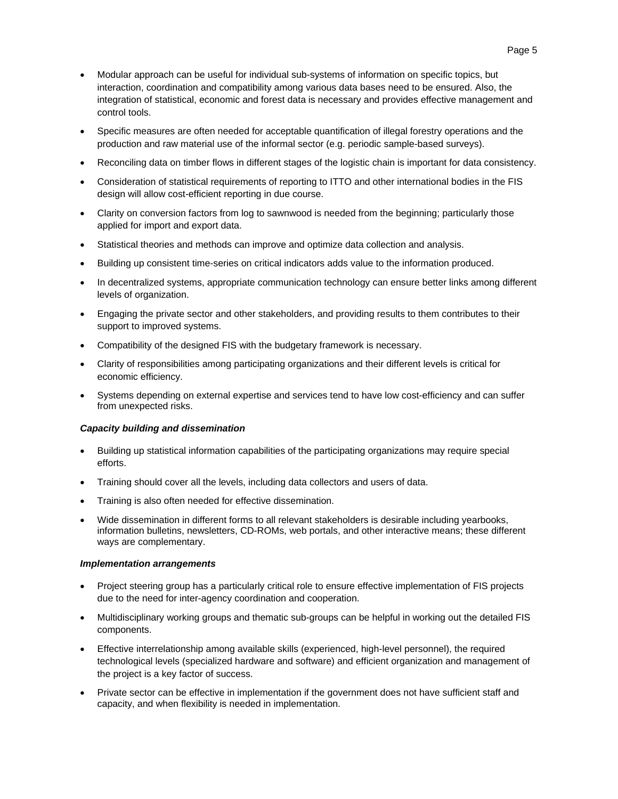- Modular approach can be useful for individual sub-systems of information on specific topics, but interaction, coordination and compatibility among various data bases need to be ensured. Also, the integration of statistical, economic and forest data is necessary and provides effective management and control tools.
- Specific measures are often needed for acceptable quantification of illegal forestry operations and the production and raw material use of the informal sector (e.g. periodic sample-based surveys).
- Reconciling data on timber flows in different stages of the logistic chain is important for data consistency.
- Consideration of statistical requirements of reporting to ITTO and other international bodies in the FIS design will allow cost-efficient reporting in due course.
- Clarity on conversion factors from log to sawnwood is needed from the beginning; particularly those applied for import and export data.
- Statistical theories and methods can improve and optimize data collection and analysis.
- Building up consistent time-series on critical indicators adds value to the information produced.
- In decentralized systems, appropriate communication technology can ensure better links among different levels of organization.
- Engaging the private sector and other stakeholders, and providing results to them contributes to their support to improved systems.
- Compatibility of the designed FIS with the budgetary framework is necessary.
- Clarity of responsibilities among participating organizations and their different levels is critical for economic efficiency.
- Systems depending on external expertise and services tend to have low cost-efficiency and can suffer from unexpected risks.

#### *Capacity building and dissemination*

- Building up statistical information capabilities of the participating organizations may require special efforts.
- Training should cover all the levels, including data collectors and users of data.
- Training is also often needed for effective dissemination.
- Wide dissemination in different forms to all relevant stakeholders is desirable including yearbooks, information bulletins, newsletters, CD-ROMs, web portals, and other interactive means; these different ways are complementary.

#### *Implementation arrangements*

- Project steering group has a particularly critical role to ensure effective implementation of FIS projects due to the need for inter-agency coordination and cooperation.
- Multidisciplinary working groups and thematic sub-groups can be helpful in working out the detailed FIS components.
- Effective interrelationship among available skills (experienced, high-level personnel), the required technological levels (specialized hardware and software) and efficient organization and management of the project is a key factor of success.
- Private sector can be effective in implementation if the government does not have sufficient staff and capacity, and when flexibility is needed in implementation.